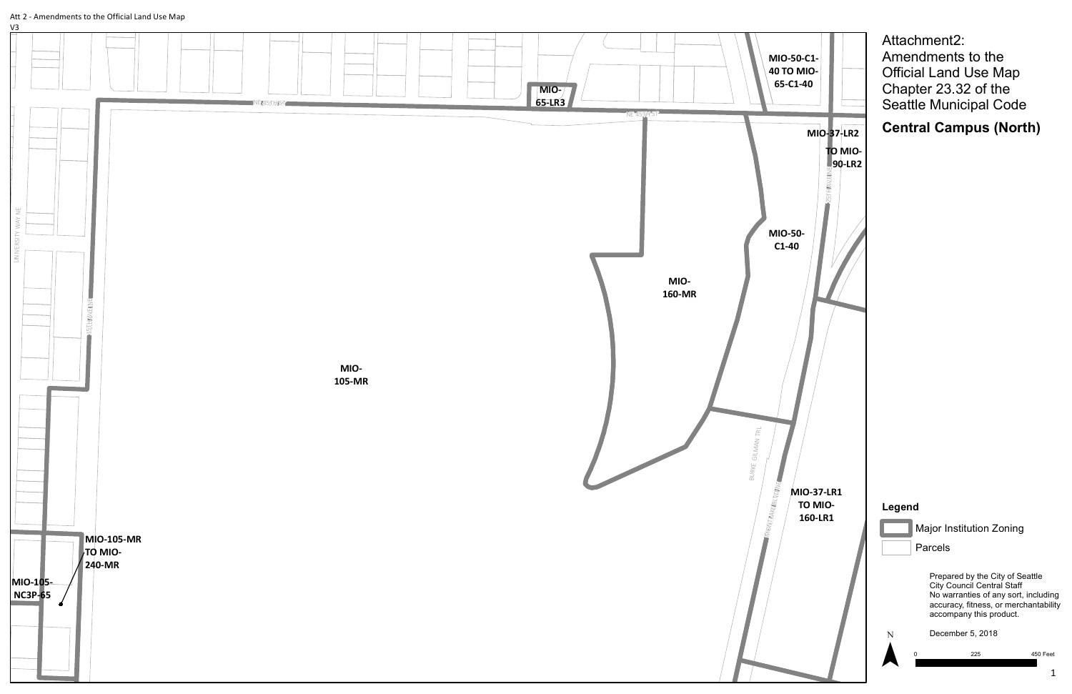

### Att 2 - Amendments to the Official Land Use Map

V3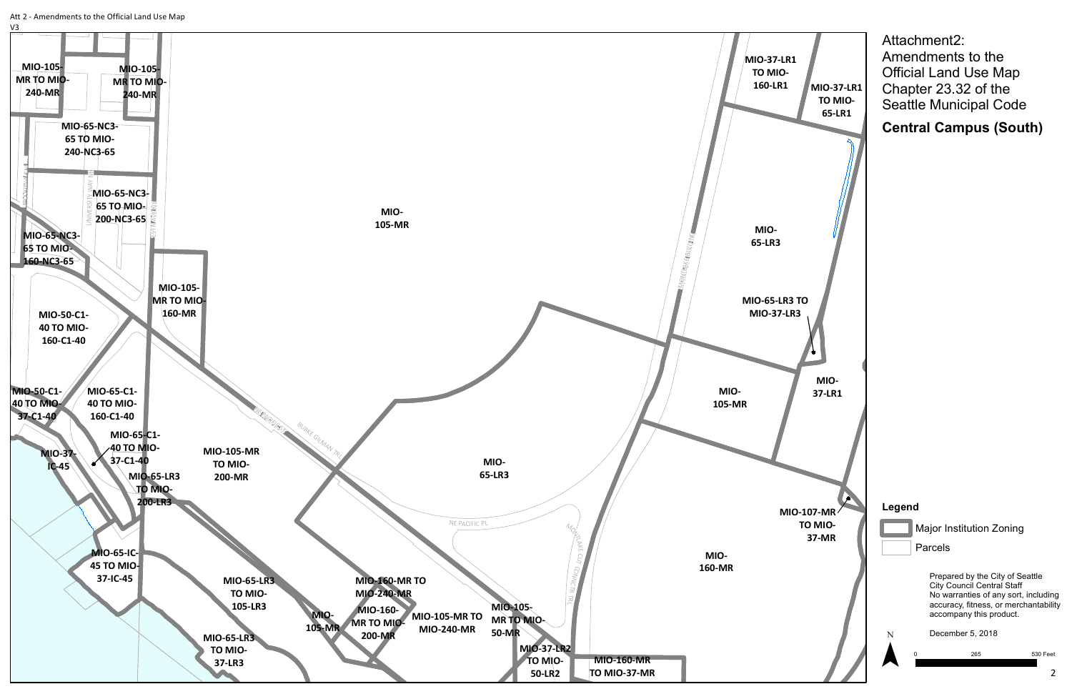

Prepared by the City of Seattle City Council Central Staff No warranties of any sort, including accuracy, fitness, or merchantability accompany this product.

December 5, 2018

0 265 530 Feet

### **Legend**

Major Institution Zoning

Parcels

Attachment2: Amendments to the Official Land Use Map Chapter 23.32 of the Seattle Municipal Code

**Central Campus (South)**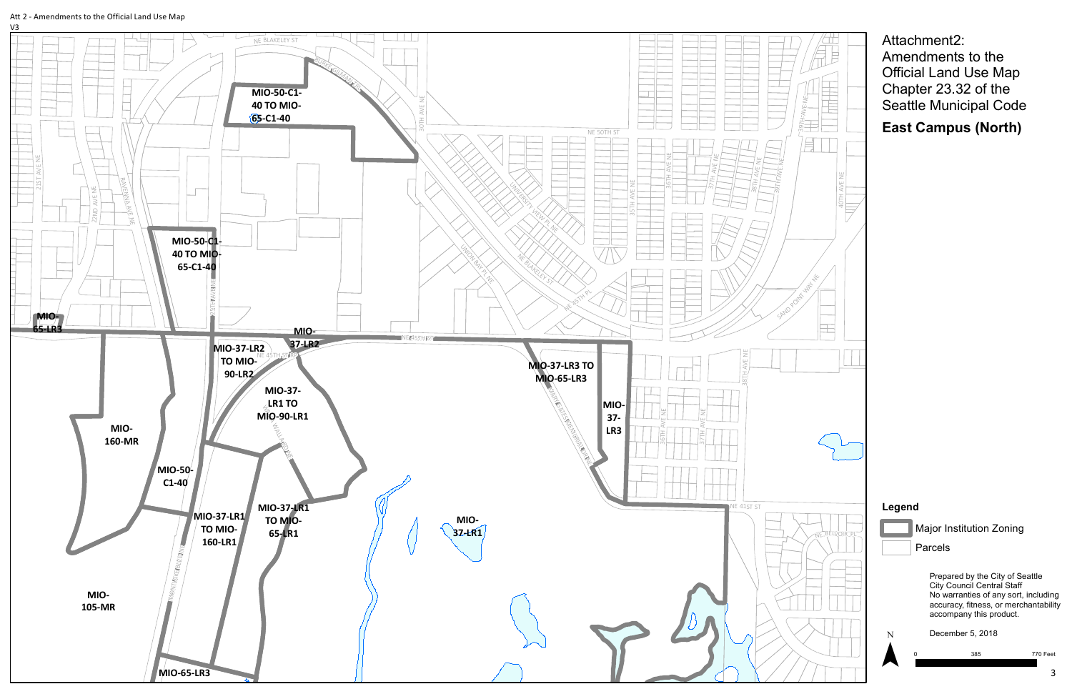

### Att 2 - Amendments to the Official Land Use Map



Attachment2: Amendments to the Official Land Use Map Chapter 23.32 of the Seattle Municipal Code

East Campus (North)

# Legend



Major Institution Zoning

Parcels

Prepared by the City of Seattle City Council Central Staff No warranties of any sort, including accuracy, fitness, or merchantability accompany this product.

0

December 5, 2018

3 8 5

770 Feet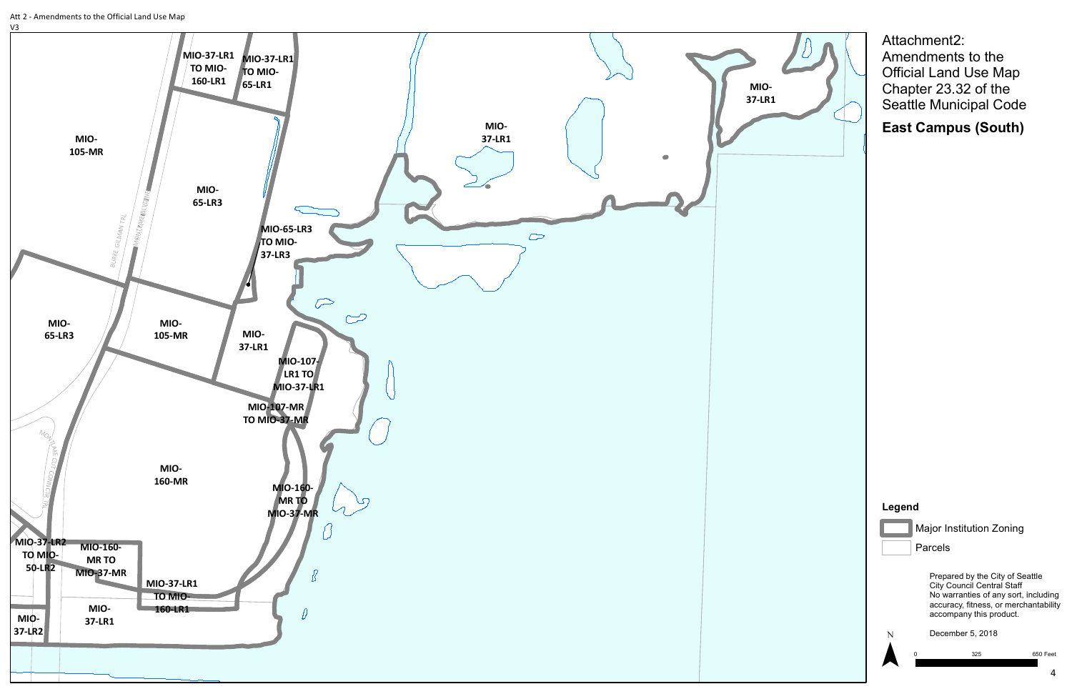

Prepared by the City of Seattle City Council Central Staff No warranties of any sort, including accuracy, fitness, or merchantability accompany this product.



December 5, 2018

0 325 650 Feet

## **Legend**



Major Institution Zoning

Parcels

Attachment2: Amendments to the Official Land Use Map Chapter 23.32 of the Seattle Municipal Code

**East Campus (South)**

Att 2 - Amendments to the Official Land Use Map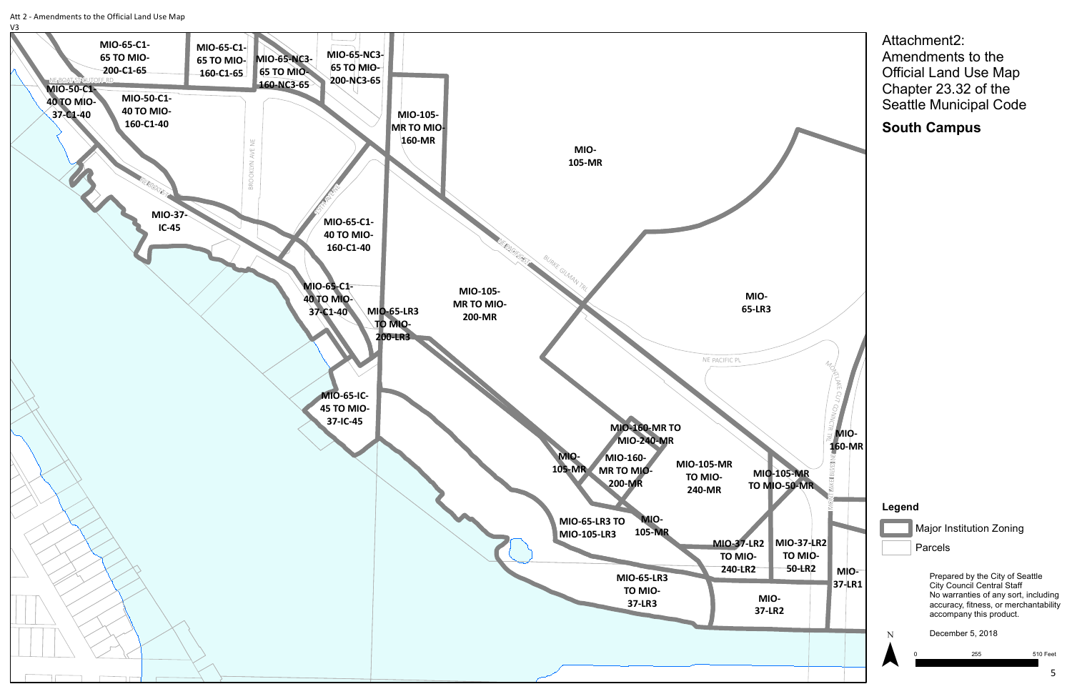Att 2 - Amendments to the Official Land Use Map